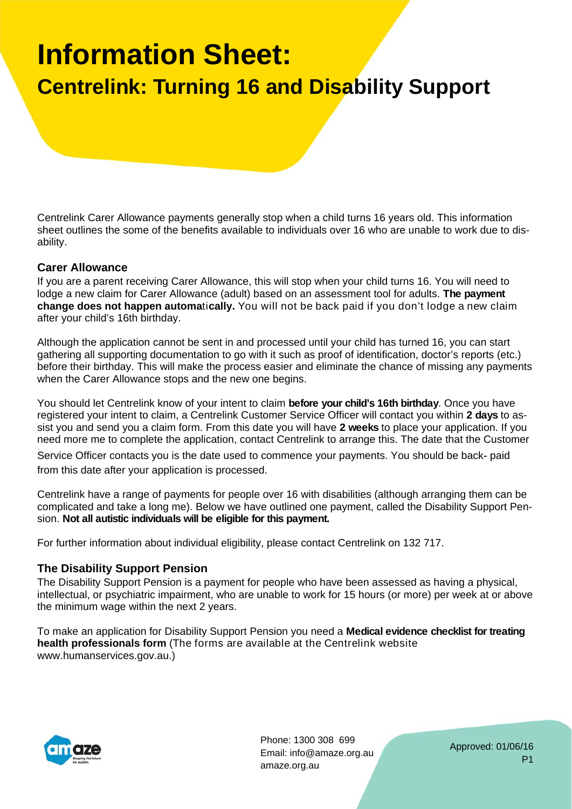# **Information Sheet: Centrelink: Turning 16 and Disability Support**

Centrelink Carer Allowance payments generally stop when a child turns 16 years old. This information sheet outlines the some of the benefits available to individuals over 16 who are unable to work due to disability.

#### **Carer Allowance**

If you are a parent receiving Carer Allowance, this will stop when your child turns 16. You will need to lodge a new claim for Carer Allowance (adult) based on an assessment tool for adults. **The payment change does not happen automa**ti**cally.** You will not be back paid if you don't lodge a new claim after your child's 16th birthday.

Although the application cannot be sent in and processed until your child has turned 16, you can start gathering all supporting documentation to go with it such as proof of identification, doctor's reports (etc.) before their birthday. This will make the process easier and eliminate the chance of missing any payments when the Carer Allowance stops and the new one begins.

You should let Centrelink know of your intent to claim **before your child's 16th birthday**. Once you have registered your intent to claim, a Centrelink Customer Service Officer will contact you within **2 days** to assist you and send you a claim form. From this date you will have **2 weeks** to place your application. If you need more me to complete the application, contact Centrelink to arrange this. The date that the Customer

Service Officer contacts you is the date used to commence your payments. You should be back‐ paid from this date after your application is processed.

Centrelink have a range of payments for people over 16 with disabilities (although arranging them can be complicated and take a long me). Below we have outlined one payment, called the Disability Support Pension. **Not all autistic individuals will be eligible for this payment.** 

For further information about individual eligibility, please contact Centrelink on 132 717.

## **The Disability Support Pension**

The Disability Support Pension is a payment for people who have been assessed as having a physical, intellectual, or psychiatric impairment, who are unable to work for 15 hours (or more) per week at or above the minimum wage within the next 2 years.

To make an application for Disability Support Pension you need a **Medical evidence checklist for treating health professionals form** (The forms are available at the Centrelink website www.humanservices.gov.au.)



Phone: 1300 308 699 Email: info@amaze.org.au amaze.org.au

Approved: 01/06/16 P1